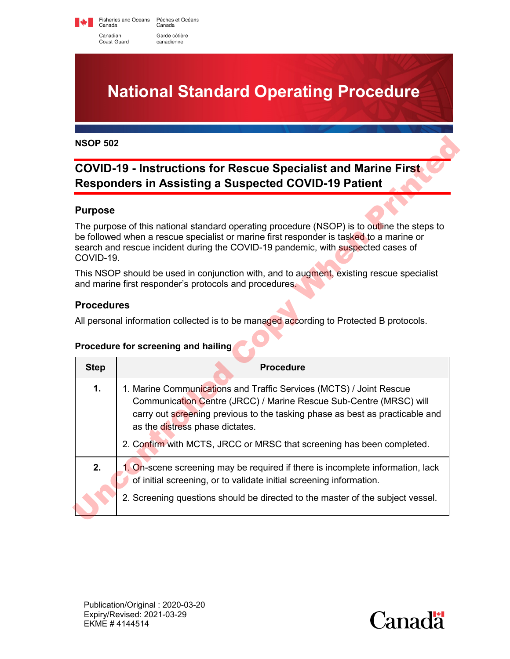Fisheries and Oceans Pêches et Océans<br>Canada Canada Canadian Garde côtière Coast Guard canadienne

**National Standard Operating Procedure**

# **COVID-19 - Instructions for Rescue Specialist and Marine First Responders in Assisting a Suspected COVID-19 Patient**

#### **Purpose**

#### **Procedures**

#### **Procedure for screening and hailing**

| <b>NSOP 502</b>                                                                                                                      |                                                                                                                                                                                                                                                                            |  |
|--------------------------------------------------------------------------------------------------------------------------------------|----------------------------------------------------------------------------------------------------------------------------------------------------------------------------------------------------------------------------------------------------------------------------|--|
| <b>COVID-19 - Instructions for Rescue Specialist and Marine First</b><br><b>Responders in Assisting a Suspected COVID-19 Patient</b> |                                                                                                                                                                                                                                                                            |  |
| <b>Purpose</b>                                                                                                                       |                                                                                                                                                                                                                                                                            |  |
| COVID-19.                                                                                                                            | The purpose of this national standard operating procedure (NSOP) is to outline the steps to<br>be followed when a rescue specialist or marine first responder is tasked to a marine or<br>search and rescue incident during the COVID-19 pandemic, with suspected cases of |  |
|                                                                                                                                      | This NSOP should be used in conjunction with, and to augment, existing rescue specialist<br>and marine first responder's protocols and procedures.                                                                                                                         |  |
| <b>Procedures</b>                                                                                                                    |                                                                                                                                                                                                                                                                            |  |
|                                                                                                                                      | All personal information collected is to be managed according to Protected B protocols.                                                                                                                                                                                    |  |
|                                                                                                                                      |                                                                                                                                                                                                                                                                            |  |
|                                                                                                                                      | Procedure for screening and hailing                                                                                                                                                                                                                                        |  |
| <b>Step</b>                                                                                                                          | <b>Procedure</b>                                                                                                                                                                                                                                                           |  |
| 1.                                                                                                                                   | 1. Marine Communications and Traffic Services (MCTS) / Joint Rescue<br>Communication Centre (JRCC) / Marine Rescue Sub-Centre (MRSC) will<br>carry out screening previous to the tasking phase as best as practicable and<br>as the distress phase dictates.               |  |
|                                                                                                                                      | 2. Confirm with MCTS, JRCC or MRSC that screening has been completed.                                                                                                                                                                                                      |  |
| 2.                                                                                                                                   | 1. On-scene screening may be required if there is incomplete information, lack<br>of initial screening, or to validate initial screening information.                                                                                                                      |  |
|                                                                                                                                      |                                                                                                                                                                                                                                                                            |  |

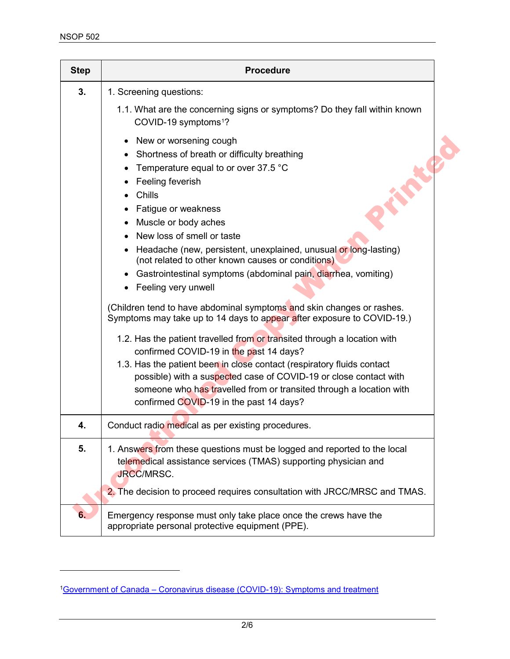$\overline{a}$ 

| <b>Step</b> | <b>Procedure</b>                                                                                                                                                                                                                                                                                                                                                                                                                                                                                                                                                                                                     |
|-------------|----------------------------------------------------------------------------------------------------------------------------------------------------------------------------------------------------------------------------------------------------------------------------------------------------------------------------------------------------------------------------------------------------------------------------------------------------------------------------------------------------------------------------------------------------------------------------------------------------------------------|
| 3.          | 1. Screening questions:                                                                                                                                                                                                                                                                                                                                                                                                                                                                                                                                                                                              |
|             | 1.1. What are the concerning signs or symptoms? Do they fall within known<br>COVID-19 symptoms <sup>1</sup> ?                                                                                                                                                                                                                                                                                                                                                                                                                                                                                                        |
|             | New or worsening cough<br>٠<br>Shortness of breath or difficulty breathing<br>$\bullet$<br>Temperature equal to or over 37.5 °C<br>Feeling feverish<br>Chills<br>Fatigue or weakness<br>٠<br>Muscle or body aches<br>New loss of smell or taste<br>Headache (new, persistent, unexplained, unusual or long-lasting)<br>(not related to other known causes or conditions)<br>Gastrointestinal symptoms (abdominal pain, diarrhea, vomiting)<br>Feeling very unwell<br>(Children tend to have abdominal symptoms and skin changes or rashes.<br>Symptoms may take up to 14 days to appear after exposure to COVID-19.) |
|             | 1.2. Has the patient travelled from or transited through a location with<br>confirmed COVID-19 in the past 14 days?<br>1.3. Has the patient been in close contact (respiratory fluids contact<br>possible) with a suspected case of COVID-19 or close contact with<br>someone who has travelled from or transited through a location with<br>confirmed COVID-19 in the past 14 days?                                                                                                                                                                                                                                 |
| 4.          | Conduct radio medical as per existing procedures.                                                                                                                                                                                                                                                                                                                                                                                                                                                                                                                                                                    |
| 5.          | 1. Answers from these questions must be logged and reported to the local<br>telemedical assistance services (TMAS) supporting physician and<br>JRCC/MRSC.<br>2. The decision to proceed requires consultation with JRCC/MRSC and TMAS.                                                                                                                                                                                                                                                                                                                                                                               |
| 6.          | Emergency response must only take place once the crews have the<br>appropriate personal protective equipment (PPE).                                                                                                                                                                                                                                                                                                                                                                                                                                                                                                  |

<span id="page-1-0"></span>[<sup>1</sup>Government of Canada – Coronavirus disease \(COVID-19\): Symptoms and treatment](https://www.canada.ca/en/public-health/services/diseases/2019-novel-coronavirus-infection/symptoms.html)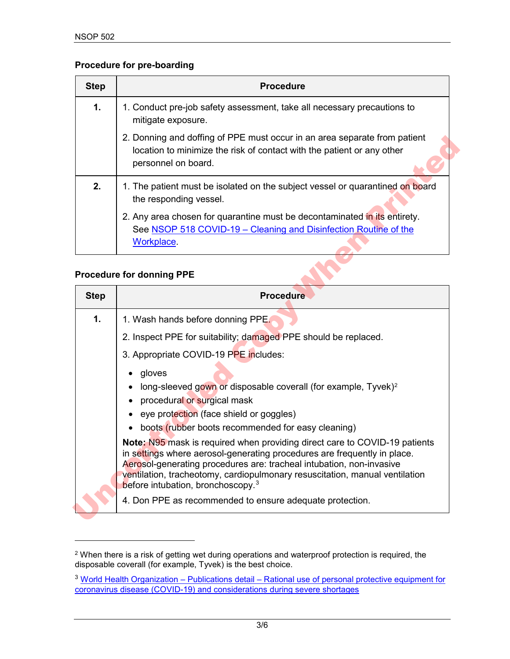#### **Procedure for pre-boarding**

| Step | <b>Procedure</b>                                                                                                                                                           |
|------|----------------------------------------------------------------------------------------------------------------------------------------------------------------------------|
| 1.   | 1. Conduct pre-job safety assessment, take all necessary precautions to<br>mitigate exposure.                                                                              |
|      | 2. Donning and doffing of PPE must occur in an area separate from patient<br>location to minimize the risk of contact with the patient or any other<br>personnel on board. |
| 2.   | 1. The patient must be isolated on the subject vessel or quarantined on board<br>the responding vessel.                                                                    |
|      | 2. Any area chosen for quarantine must be decontaminated in its entirety.<br>See NSOP 518 COVID-19 – Cleaning and Disinfection Routine of the<br>Workplace.                |

### **Procedure for donning PPE**

 $\overline{a}$ 

|             | eye protection (face shield or goggles)                                                                                                       |
|-------------|-----------------------------------------------------------------------------------------------------------------------------------------------|
|             | • gloves<br>long-sleeved gown or disposable coverall (for example, Tyvek) <sup>2</sup><br>procedural or surgical mask                         |
|             | 3. Appropriate COVID-19 PPE includes:                                                                                                         |
| 1.          | 1. Wash hands before donning PPE.<br>2. Inspect PPE for suitability; damaged PPE should be replaced.                                          |
| <b>Step</b> | <b>Procedure</b>                                                                                                                              |
|             | <b>Procedure for donning PPE</b>                                                                                                              |
|             | <b>Workplace</b>                                                                                                                              |
|             | 2. Any area chosen for quarantine must be decontaminated in its entirety.<br>See NSOP 518 COVID-19 - Cleaning and Disinfection Routine of the |
| 2.          | 1. The patient must be isolated on the subject vessel or quarantined on board<br>the responding vessel.                                       |
|             | location to minimize the risk of contact with the patient or any other<br>personnel on board.                                                 |

<span id="page-2-0"></span> $^{\rm 2}$  When there is a risk of getting wet during operations and waterproof protection is required, the disposable coverall (for example, Tyvek) is the best choice.

<span id="page-2-1"></span><sup>&</sup>lt;sup>3</sup> World Health Organization – Publications detail – Rational use of personal protective equipment for [coronavirus disease \(COVID-19\) and considerations during severe shortages](https://www.who.int/publications-detail/rational-use-of-personal-protective-equipment-for-coronavirus-disease-(covid-19)-and-considerations-during-severe-shortages)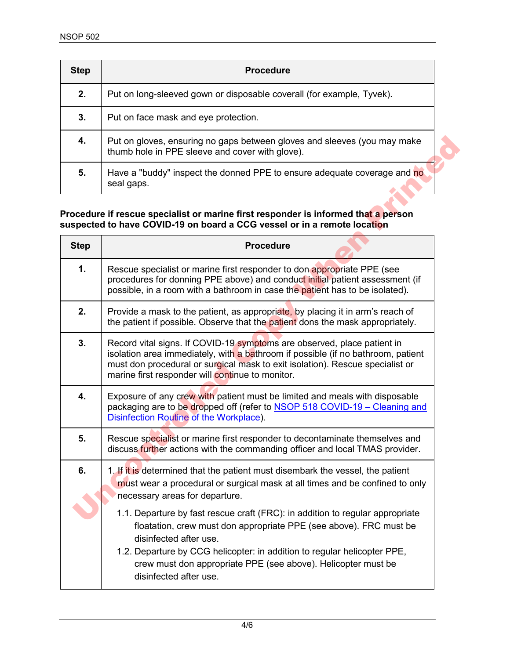| <b>Step</b> | <b>Procedure</b>                                                                                                         |
|-------------|--------------------------------------------------------------------------------------------------------------------------|
| 2.          | Put on long-sleeved gown or disposable coverall (for example, Tyvek).                                                    |
| 3.          | Put on face mask and eye protection.                                                                                     |
| 4.          | Put on gloves, ensuring no gaps between gloves and sleeves (you may make thumb hole in PPE sleeve and cover with glove). |
| 5.          | Have a "buddy" inspect the donned PPE to ensure adequate coverage and no<br>seal gaps.                                   |

#### **Procedure if rescue specialist or marine first responder is informed that a person suspected to have COVID-19 on board a CCG vessel or in a remote location**

| 4.          | Put on gloves, ensuring no gaps between gloves and sleeves (you may make<br>thumb hole in PPE sleeve and cover with glove).                                                                                                                                                                                                                          |
|-------------|------------------------------------------------------------------------------------------------------------------------------------------------------------------------------------------------------------------------------------------------------------------------------------------------------------------------------------------------------|
| 5.          | Have a "buddy" inspect the donned PPE to ensure adequate coverage and no<br>seal gaps.                                                                                                                                                                                                                                                               |
|             | Procedure if rescue specialist or marine first responder is informed that a person<br>suspected to have COVID-19 on board a CCG vessel or in a remote location                                                                                                                                                                                       |
| <b>Step</b> | <b>Procedure</b>                                                                                                                                                                                                                                                                                                                                     |
| 1.          | Rescue specialist or marine first responder to don appropriate PPE (see<br>procedures for donning PPE above) and conduct initial patient assessment (if<br>possible, in a room with a bathroom in case the patient has to be isolated).                                                                                                              |
| 2.          | Provide a mask to the patient, as appropriate, by placing it in arm's reach of<br>the patient if possible. Observe that the patient dons the mask appropriately.                                                                                                                                                                                     |
| 3.          | Record vital signs. If COVID-19 symptoms are observed, place patient in<br>isolation area immediately, with a bathroom if possible (if no bathroom, patient<br>must don procedural or surgical mask to exit isolation). Rescue specialist or<br>marine first responder will continue to monitor.                                                     |
| 4.          | Exposure of any crew with patient must be limited and meals with disposable<br>packaging are to be dropped off (refer to NSOP 518 COVID-19 - Cleaning and<br>Disinfection Routine of the Workplace).                                                                                                                                                 |
| 5.          | Rescue specialist or marine first responder to decontaminate themselves and<br>discuss further actions with the commanding officer and local TMAS provider.                                                                                                                                                                                          |
| 6.          | 1. If it is determined that the patient must disembark the vessel, the patient<br>must wear a procedural or surgical mask at all times and be confined to only<br>necessary areas for departure.                                                                                                                                                     |
|             | 1.1. Departure by fast rescue craft (FRC): in addition to regular appropriate<br>floatation, crew must don appropriate PPE (see above). FRC must be<br>disinfected after use.<br>1.2. Departure by CCG helicopter: in addition to regular helicopter PPE,<br>crew must don appropriate PPE (see above). Helicopter must be<br>disinfected after use. |
|             |                                                                                                                                                                                                                                                                                                                                                      |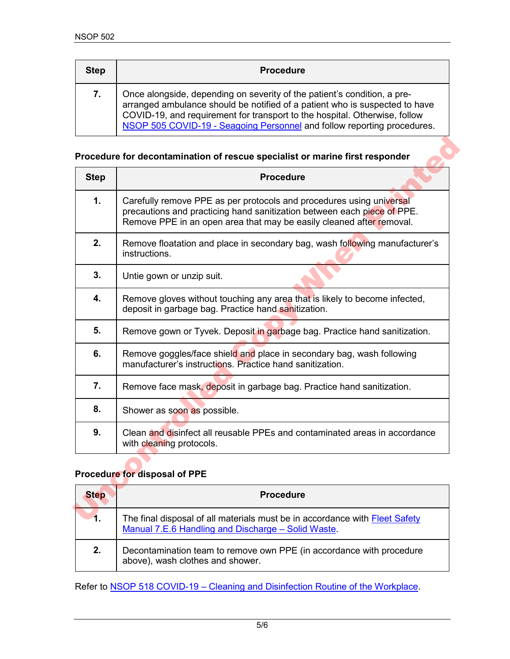| <b>Step</b> | <b>Procedure</b>                                                                                                                                                                                                                                                                                                 |
|-------------|------------------------------------------------------------------------------------------------------------------------------------------------------------------------------------------------------------------------------------------------------------------------------------------------------------------|
| 7.          | Once alongside, depending on severity of the patient's condition, a pre-<br>arranged ambulance should be notified of a patient who is suspected to have<br>COVID-19, and requirement for transport to the hospital. Otherwise, follow<br>NSOP 505 COVID-19 - Seagoing Personnel and follow reporting procedures. |

#### **Procedure for decontamination of rescue specialist or marine first responder**

| <b>Step</b> | <b>Procedure</b>                                                                                                                                                                                                        |
|-------------|-------------------------------------------------------------------------------------------------------------------------------------------------------------------------------------------------------------------------|
| 1.          | Carefully remove PPE as per protocols and procedures using universal<br>precautions and practicing hand sanitization between each piece of PPE.<br>Remove PPE in an open area that may be easily cleaned after removal. |
| 2.          | Remove floatation and place in secondary bag, wash following manufacturer's<br>instructions.                                                                                                                            |
| 3.          | Untie gown or unzip suit.                                                                                                                                                                                               |
| 4.          | Remove gloves without touching any area that is likely to become infected,<br>deposit in garbage bag. Practice hand sanitization.                                                                                       |
| 5.          | Remove gown or Tyvek. Deposit in garbage bag. Practice hand sanitization.                                                                                                                                               |
| 6.          | Remove goggles/face shield and place in secondary bag, wash following<br>manufacturer's instructions. Practice hand sanitization.                                                                                       |
| 7.          | Remove face mask, deposit in garbage bag. Practice hand sanitization.                                                                                                                                                   |
| 8.          | Shower as soon as possible.                                                                                                                                                                                             |
| 9.          | Clean and disinfect all reusable PPEs and contaminated areas in accordance<br>with cleaning protocols.                                                                                                                  |
|             | Procedure for disposal of PPE                                                                                                                                                                                           |
| <b>Step</b> | <b>Procedure</b>                                                                                                                                                                                                        |
| 1.          | The final disposal of all materials must be in accordance with Fleet Safety                                                                                                                                             |

## **Procedure for disposal of PPE**

| <b>Step</b> | <b>Procedure</b>                                                                                                                                 |
|-------------|--------------------------------------------------------------------------------------------------------------------------------------------------|
| 1.          | The final disposal of all materials must be in accordance with <b>Fleet Safety</b><br><u>Manual 7.E.6 Handling and Discharge – Solid Waste</u> . |
| 2.          | Decontamination team to remove own PPE (in accordance with procedure<br>above), wash clothes and shower.                                         |

Refer to NSOP [518 COVID-19 – Cleaning and Disinfection Routine of the Workplace.](https://www.ccg-gcc.gc.ca/publications/NSOP-PONEN/518-eng.html)